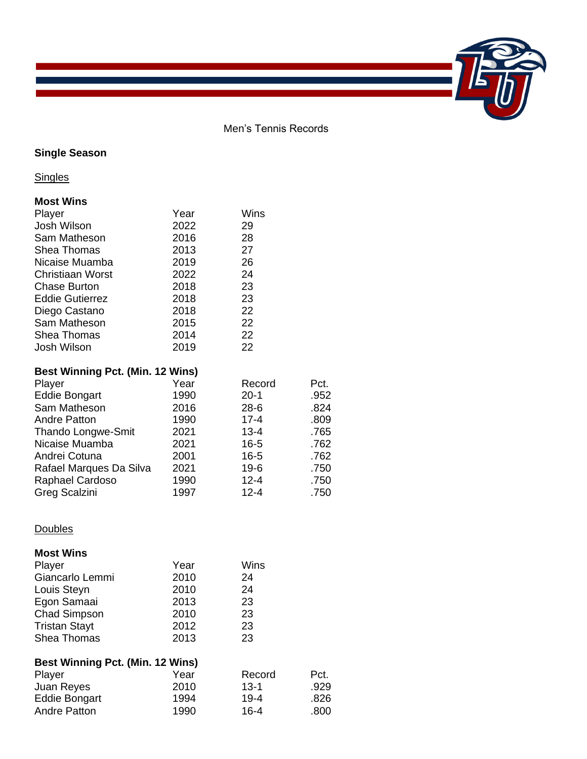Men's Tennis Records

## **Single Season**

**Singles** 

## **Most Wins**

| Player                                  | Year | Wins     |      |
|-----------------------------------------|------|----------|------|
| Josh Wilson                             | 2022 | 29       |      |
| Sam Matheson                            | 2016 | 28       |      |
| <b>Shea Thomas</b>                      | 2013 | 27       |      |
| Nicaise Muamba                          | 2019 | 26       |      |
| <b>Christiaan Worst</b>                 | 2022 | 24       |      |
|                                         |      | 23       |      |
| <b>Chase Burton</b>                     | 2018 |          |      |
| <b>Eddie Gutierrez</b>                  | 2018 | 23       |      |
| Diego Castano                           | 2018 | 22       |      |
| Sam Matheson                            | 2015 | 22       |      |
| <b>Shea Thomas</b>                      | 2014 | 22       |      |
| Josh Wilson                             | 2019 | 22       |      |
|                                         |      |          |      |
| <b>Best Winning Pct. (Min. 12 Wins)</b> |      |          |      |
| Player                                  | Year | Record   | Pct. |
| <b>Eddie Bongart</b>                    | 1990 | $20 - 1$ | .952 |
| Sam Matheson                            | 2016 | 28-6     | .824 |
| <b>Andre Patton</b>                     | 1990 | $17 - 4$ | .809 |
| <b>Thando Longwe-Smit</b>               | 2021 | 13-4     | .765 |
| Nicaise Muamba                          | 2021 | $16 - 5$ | .762 |
| Andrei Cotuna                           | 2001 | $16 - 5$ | .762 |
| Rafael Marques Da Silva                 | 2021 | 19-6     | .750 |
| Raphael Cardoso                         | 1990 | $12 - 4$ | .750 |
| Greg Scalzini                           | 1997 | $12 - 4$ | .750 |
|                                         |      |          |      |
|                                         |      |          |      |
| Doubles                                 |      |          |      |
|                                         |      |          |      |
| <b>Most Wins</b>                        |      |          |      |

| Player                                  | Year | Wins     |      |  |  |  |
|-----------------------------------------|------|----------|------|--|--|--|
| Giancarlo Lemmi                         | 2010 | 24       |      |  |  |  |
| Louis Steyn                             | 2010 | 24       |      |  |  |  |
| Egon Samaai                             | 2013 | 23       |      |  |  |  |
| <b>Chad Simpson</b>                     | 2010 | 23       |      |  |  |  |
| <b>Tristan Stayt</b>                    | 2012 | 23       |      |  |  |  |
| <b>Shea Thomas</b>                      | 2013 | 23       |      |  |  |  |
| <b>Best Winning Pct. (Min. 12 Wins)</b> |      |          |      |  |  |  |
| Player                                  | Year | Record   | Pct. |  |  |  |
| Juan Reyes                              | 2010 | $13 - 1$ | .929 |  |  |  |
| <b>Eddie Bongart</b>                    | 1994 | $19 - 4$ | .826 |  |  |  |
| <b>Andre Patton</b>                     | 1990 | $16 - 4$ | .800 |  |  |  |
|                                         |      |          |      |  |  |  |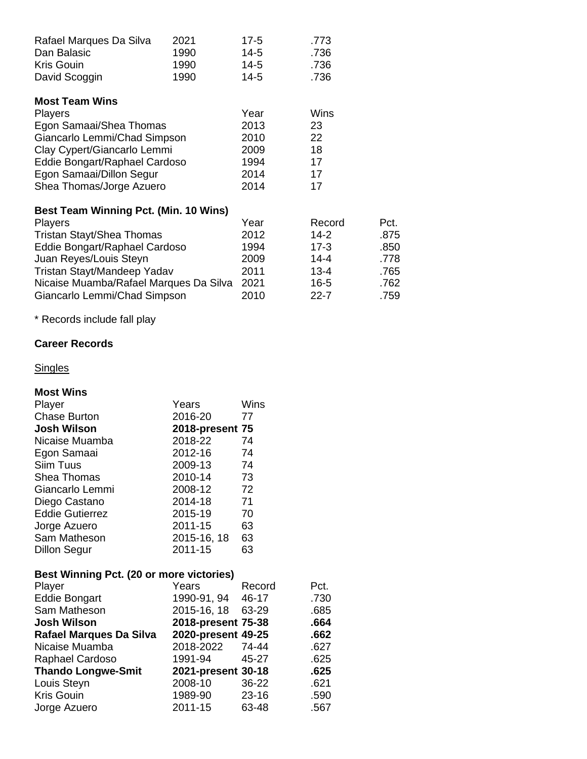| Rafael Marques Da Silva                | 2021 | $17-5$   | .773     |      |
|----------------------------------------|------|----------|----------|------|
| Dan Balasic                            | 1990 | 14-5     | .736     |      |
| <b>Kris Gouin</b>                      | 1990 | $14 - 5$ | .736     |      |
| David Scoggin                          | 1990 | $14 - 5$ | .736     |      |
| <b>Most Team Wins</b>                  |      |          |          |      |
| <b>Players</b>                         |      | Year     | Wins     |      |
| Egon Samaai/Shea Thomas                |      | 2013     | 23       |      |
| Giancarlo Lemmi/Chad Simpson           |      | 2010     | 22       |      |
| Clay Cypert/Giancarlo Lemmi            |      | 2009     | 18       |      |
| Eddie Bongart/Raphael Cardoso          |      | 1994     | 17       |      |
| Egon Samaai/Dillon Segur               |      | 2014     | 17       |      |
| Shea Thomas/Jorge Azuero               |      | 2014     | 17       |      |
| Best Team Winning Pct. (Min. 10 Wins)  |      |          |          |      |
| <b>Players</b>                         |      | Year     | Record   | Pct. |
| Tristan Stayt/Shea Thomas              |      | 2012     | 14-2     | .875 |
| Eddie Bongart/Raphael Cardoso          |      | 1994     | 17-3     | .850 |
| Juan Reyes/Louis Steyn                 |      | 2009     | 14-4     | .778 |
| Tristan Stayt/Mandeep Yadav            |      | 2011     | 13-4     | .765 |
| Nicaise Muamba/Rafael Marques Da Silva |      | 2021     | $16-5$   | .762 |
| Giancarlo Lemmi/Chad Simpson           |      | 2010     | $22 - 7$ | .759 |

\* Records include fall play

## **Career Records**

## **Singles**

#### **Most Wins**

| Player                 | Years           | Wins |
|------------------------|-----------------|------|
| <b>Chase Burton</b>    | 2016-20         | 77   |
| <b>Josh Wilson</b>     | 2018-present 75 |      |
| Nicaise Muamba         | 2018-22         | 74   |
| Egon Samaai            | 2012-16         | 74   |
| Siim Tuus              | 2009-13         | 74   |
| <b>Shea Thomas</b>     | 2010-14         | 73   |
| Giancarlo Lemmi        | 2008-12         | 72   |
| Diego Castano          | 2014-18         | 71   |
| <b>Eddie Gutierrez</b> | 2015-19         | 70   |
| Jorge Azuero           | 2011-15         | 63   |
| Sam Matheson           | 2015-16, 18     | 63   |
| <b>Dillon Segur</b>    | 2011-15         | 63   |
|                        |                 |      |

#### **Best Winning Pct. (20 or more victories)**

| Player                    | Years              | Record    | Pct. |
|---------------------------|--------------------|-----------|------|
| <b>Eddie Bongart</b>      | 1990-91, 94        | 46-17     | .730 |
| Sam Matheson              | 2015-16, 18        | 63-29     | .685 |
| <b>Josh Wilson</b>        | 2018-present 75-38 |           | .664 |
| Rafael Marques Da Silva   | 2020-present 49-25 |           | .662 |
| Nicaise Muamba            | 2018-2022 74-44    |           | .627 |
| Raphael Cardoso           | 1991-94            | 45-27     | .625 |
| <b>Thando Longwe-Smit</b> | 2021-present 30-18 |           | .625 |
| Louis Steyn               | 2008-10            | 36-22     | .621 |
| <b>Kris Gouin</b>         | 1989-90            | $23 - 16$ | .590 |
| Jorge Azuero              | 2011-15            | 63-48     | .567 |